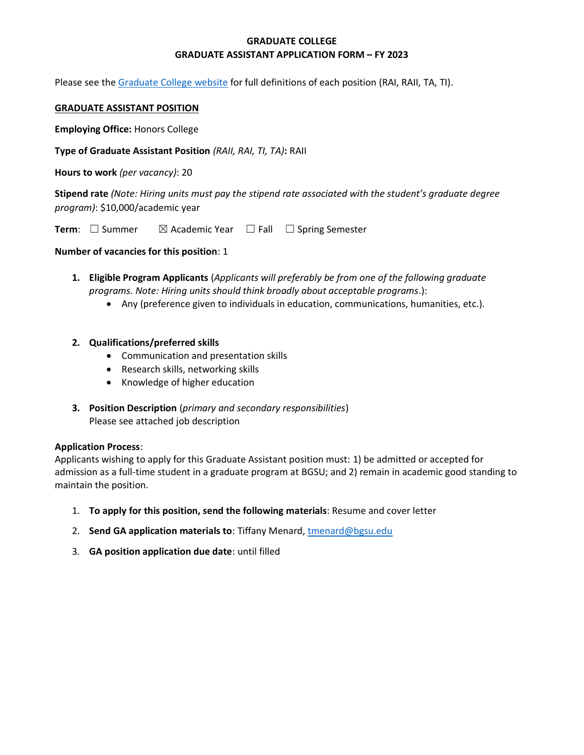## **GRADUATE COLLEGE GRADUATE ASSISTANT APPLICATION FORM – FY 2023**

Please see the [Graduate College website](https://www.bgsu.edu/content/dam/BGSU/graduate-college/GADocs/Grad-Col-GA-Position-Descriptions-21-22.pdf) for full definitions of each position (RAI, RAII, TA, TI).

#### **GRADUATE ASSISTANT POSITION**

**Employing Office:** Honors College

**Type of Graduate Assistant Position** *(RAII, RAI, TI, TA)***:** RAII

**Hours to work** *(per vacancy)*: 20

**Stipend rate** *(Note: Hiring units must pay the stipend rate associated with the student's graduate degree program)*: \$10,000/academic year

**Term**: □ Summer  $\boxtimes$  Academic Year □ Fall □ Spring Semester

#### **Number of vacancies for this position**: 1

- **1. Eligible Program Applicants** (*Applicants will preferably be from one of the following graduate programs. Note: Hiring units should think broadly about acceptable programs*.):
	- Any (preference given to individuals in education, communications, humanities, etc.).
- **2. Qualifications/preferred skills** 
	- Communication and presentation skills
	- Research skills, networking skills
	- Knowledge of higher education
- **3. Position Description** (*primary and secondary responsibilities*) Please see attached job description

#### **Application Process**:

Applicants wishing to apply for this Graduate Assistant position must: 1) be admitted or accepted for admission as a full-time student in a graduate program at BGSU; and 2) remain in academic good standing to maintain the position.

- 1. **To apply for this position, send the following materials**: Resume and cover letter
- 2. **Send GA application materials to**: Tiffany Menard[, tmenard@bgsu.edu](mailto:tmenard@bgsu.edu)
- 3. **GA position application due date**: until filled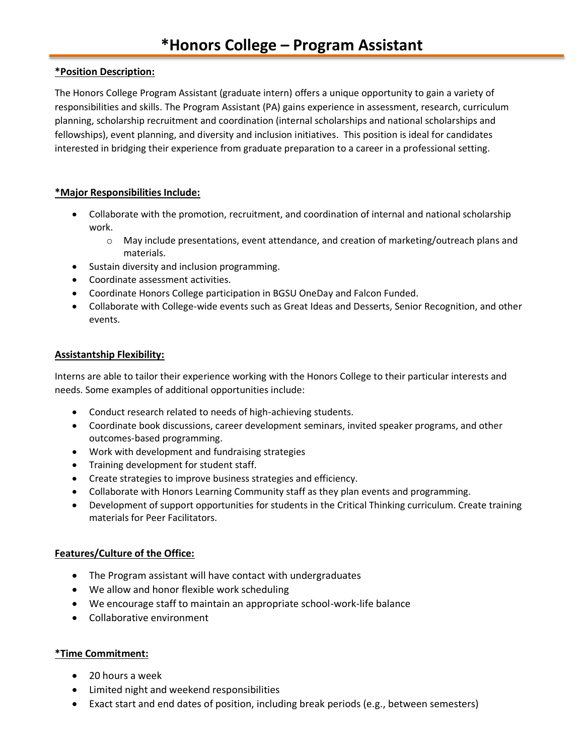### **\*Position Description:**

The Honors College Program Assistant (graduate intern) offers a unique opportunity to gain a variety of responsibilities and skills. The Program Assistant (PA) gains experience in assessment, research, curriculum planning, scholarship recruitment and coordination (internal scholarships and national scholarships and fellowships), event planning, and diversity and inclusion initiatives. This position is ideal for candidates interested in bridging their experience from graduate preparation to a career in a professional setting.

## **\*Major Responsibilities Include:**

- Collaborate with the promotion, recruitment, and coordination of internal and national scholarship work.
	- o May include presentations, event attendance, and creation of marketing/outreach plans and materials.
- Sustain diversity and inclusion programming.
- Coordinate assessment activities.
- Coordinate Honors College participation in BGSU OneDay and Falcon Funded.
- Collaborate with College-wide events such as Great Ideas and Desserts, Senior Recognition, and other events.

#### **Assistantship Flexibility:**

Interns are able to tailor their experience working with the Honors College to their particular interests and needs. Some examples of additional opportunities include:

- Conduct research related to needs of high-achieving students.
- Coordinate book discussions, career development seminars, invited speaker programs, and other outcomes-based programming.
- Work with development and fundraising strategies
- Training development for student staff.
- Create strategies to improve business strategies and efficiency.
- Collaborate with Honors Learning Community staff as they plan events and programming.
- Development of support opportunities for students in the Critical Thinking curriculum. Create training materials for Peer Facilitators.

## **Features/Culture of the Office:**

- The Program assistant will have contact with undergraduates
- We allow and honor flexible work scheduling
- We encourage staff to maintain an appropriate school-work-life balance
- Collaborative environment

#### **\*Time Commitment:**

- 20 hours a week
- Limited night and weekend responsibilities
- Exact start and end dates of position, including break periods (e.g., between semesters)